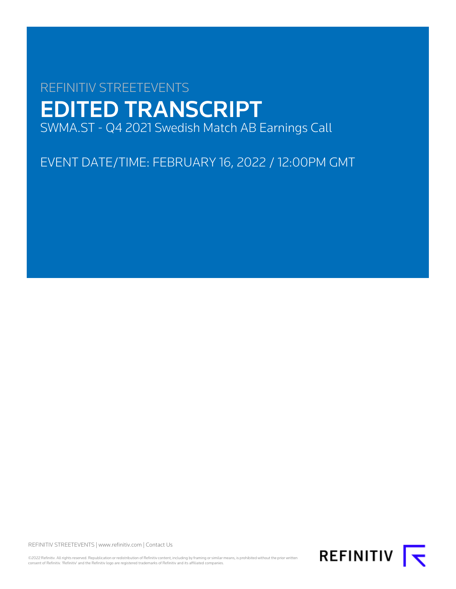# REFINITIV STREETEVENTS EDITED TRANSCRIPT SWMA.ST - Q4 2021 Swedish Match AB Earnings Call

EVENT DATE/TIME: FEBRUARY 16, 2022 / 12:00PM GMT

REFINITIV STREETEVENTS | [www.refinitiv.com](https://www.refinitiv.com/) | [Contact Us](https://www.refinitiv.com/en/contact-us)

©2022 Refinitiv. All rights reserved. Republication or redistribution of Refinitiv content, including by framing or similar means, is prohibited without the prior written<br>consent of Refinitiv. 'Refinitiv' and the Refinitiv

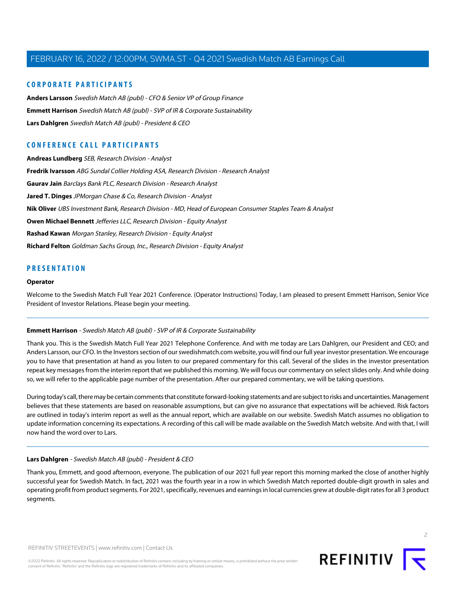# **CORPORATE PARTICIPANTS**

**[Anders Larsson](#page-4-0)** Swedish Match AB (publ) - CFO & Senior VP of Group Finance **[Emmett Harrison](#page-1-0)** Swedish Match AB (publ) - SVP of IR & Corporate Sustainability **[Lars Dahlgren](#page-1-1)** Swedish Match AB (publ) - President & CEO

# **CONFERENCE CALL PARTICIPANTS**

**[Andreas Lundberg](#page-11-0)** SEB, Research Division - Analyst **[Fredrik Ivarsson](#page-5-0)** ABG Sundal Collier Holding ASA, Research Division - Research Analyst **[Gaurav Jain](#page-8-0)** Barclays Bank PLC, Research Division - Research Analyst **[Jared T. Dinges](#page-13-0)** JPMorgan Chase & Co, Research Division - Analyst **[Nik Oliver](#page-12-0)** UBS Investment Bank, Research Division - MD, Head of European Consumer Staples Team & Analyst **[Owen Michael Bennett](#page-6-0)** Jefferies LLC, Research Division - Equity Analyst **[Rashad Kawan](#page-6-1)** Morgan Stanley, Research Division - Equity Analyst **[Richard Felton](#page-9-0)** Goldman Sachs Group, Inc., Research Division - Equity Analyst

# **PRESENTATION**

#### **Operator**

<span id="page-1-0"></span>Welcome to the Swedish Match Full Year 2021 Conference. (Operator Instructions) Today, I am pleased to present Emmett Harrison, Senior Vice President of Investor Relations. Please begin your meeting.

## **Emmett Harrison** - Swedish Match AB (publ) - SVP of IR & Corporate Sustainability

Thank you. This is the Swedish Match Full Year 2021 Telephone Conference. And with me today are Lars Dahlgren, our President and CEO; and Anders Larsson, our CFO. In the Investors section of our swedishmatch.com website, you will find our full year investor presentation. We encourage you to have that presentation at hand as you listen to our prepared commentary for this call. Several of the slides in the investor presentation repeat key messages from the interim report that we published this morning. We will focus our commentary on select slides only. And while doing so, we will refer to the applicable page number of the presentation. After our prepared commentary, we will be taking questions.

<span id="page-1-1"></span>During today's call, there may be certain comments that constitute forward-looking statements and are subject to risks and uncertainties. Management believes that these statements are based on reasonable assumptions, but can give no assurance that expectations will be achieved. Risk factors are outlined in today's interim report as well as the annual report, which are available on our website. Swedish Match assumes no obligation to update information concerning its expectations. A recording of this call will be made available on the Swedish Match website. And with that, I will now hand the word over to Lars.

#### **Lars Dahlgren** - Swedish Match AB (publ) - President & CEO

Thank you, Emmett, and good afternoon, everyone. The publication of our 2021 full year report this morning marked the close of another highly successful year for Swedish Match. In fact, 2021 was the fourth year in a row in which Swedish Match reported double-digit growth in sales and operating profit from product segments. For 2021, specifically, revenues and earnings in local currencies grew at double-digit rates for all 3 product segments.

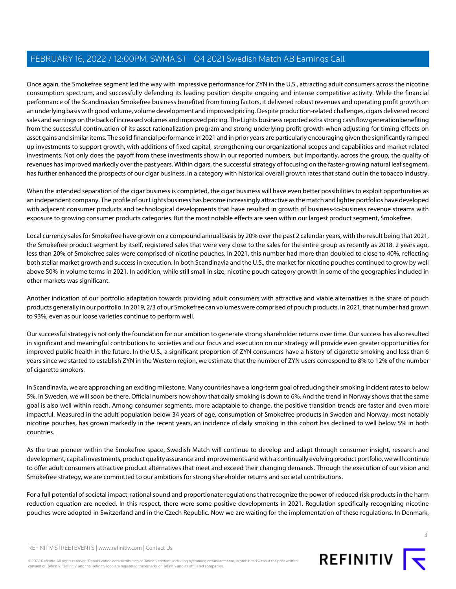Once again, the Smokefree segment led the way with impressive performance for ZYN in the U.S., attracting adult consumers across the nicotine consumption spectrum, and successfully defending its leading position despite ongoing and intense competitive activity. While the financial performance of the Scandinavian Smokefree business benefited from timing factors, it delivered robust revenues and operating profit growth on an underlying basis with good volume, volume development and improved pricing. Despite production-related challenges, cigars delivered record sales and earnings on the back of increased volumes and improved pricing. The Lights business reported extra strong cash flow generation benefiting from the successful continuation of its asset rationalization program and strong underlying profit growth when adjusting for timing effects on asset gains and similar items. The solid financial performance in 2021 and in prior years are particularly encouraging given the significantly ramped up investments to support growth, with additions of fixed capital, strengthening our organizational scopes and capabilities and market-related investments. Not only does the payoff from these investments show in our reported numbers, but importantly, across the group, the quality of revenues has improved markedly over the past years. Within cigars, the successful strategy of focusing on the faster-growing natural leaf segment, has further enhanced the prospects of our cigar business. In a category with historical overall growth rates that stand out in the tobacco industry.

When the intended separation of the cigar business is completed, the cigar business will have even better possibilities to exploit opportunities as an independent company. The profile of our Lights business has become increasingly attractive as the match and lighter portfolios have developed with adjacent consumer products and technological developments that have resulted in growth of business-to-business revenue streams with exposure to growing consumer products categories. But the most notable effects are seen within our largest product segment, Smokefree.

Local currency sales for Smokefree have grown on a compound annual basis by 20% over the past 2 calendar years, with the result being that 2021, the Smokefree product segment by itself, registered sales that were very close to the sales for the entire group as recently as 2018. 2 years ago, less than 20% of Smokefree sales were comprised of nicotine pouches. In 2021, this number had more than doubled to close to 40%, reflecting both stellar market growth and success in execution. In both Scandinavia and the U.S., the market for nicotine pouches continued to grow by well above 50% in volume terms in 2021. In addition, while still small in size, nicotine pouch category growth in some of the geographies included in other markets was significant.

Another indication of our portfolio adaptation towards providing adult consumers with attractive and viable alternatives is the share of pouch products generally in our portfolio. In 2019, 2/3 of our Smokefree can volumes were comprised of pouch products. In 2021, that number had grown to 93%, even as our loose varieties continue to perform well.

Our successful strategy is not only the foundation for our ambition to generate strong shareholder returns over time. Our success has also resulted in significant and meaningful contributions to societies and our focus and execution on our strategy will provide even greater opportunities for improved public health in the future. In the U.S., a significant proportion of ZYN consumers have a history of cigarette smoking and less than 6 years since we started to establish ZYN in the Western region, we estimate that the number of ZYN users correspond to 8% to 12% of the number of cigarette smokers.

In Scandinavia, we are approaching an exciting milestone. Many countries have a long-term goal of reducing their smoking incident rates to below 5%. In Sweden, we will soon be there. Official numbers now show that daily smoking is down to 6%. And the trend in Norway shows that the same goal is also well within reach. Among consumer segments, more adaptable to change, the positive transition trends are faster and even more impactful. Measured in the adult population below 34 years of age, consumption of Smokefree products in Sweden and Norway, most notably nicotine pouches, has grown markedly in the recent years, an incidence of daily smoking in this cohort has declined to well below 5% in both countries.

As the true pioneer within the Smokefree space, Swedish Match will continue to develop and adapt through consumer insight, research and development, capital investments, product quality assurance and improvements and with a continually evolving product portfolio, we will continue to offer adult consumers attractive product alternatives that meet and exceed their changing demands. Through the execution of our vision and Smokefree strategy, we are committed to our ambitions for strong shareholder returns and societal contributions.

For a full potential of societal impact, rational sound and proportionate regulations that recognize the power of reduced risk products in the harm reduction equation are needed. In this respect, there were some positive developments in 2021. Regulation specifically recognizing nicotine pouches were adopted in Switzerland and in the Czech Republic. Now we are waiting for the implementation of these regulations. In Denmark,

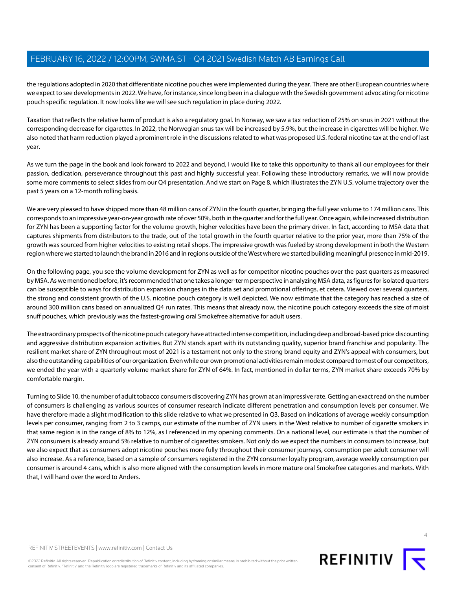the regulations adopted in 2020 that differentiate nicotine pouches were implemented during the year. There are other European countries where we expect to see developments in 2022. We have, for instance, since long been in a dialogue with the Swedish government advocating for nicotine pouch specific regulation. It now looks like we will see such regulation in place during 2022.

Taxation that reflects the relative harm of product is also a regulatory goal. In Norway, we saw a tax reduction of 25% on snus in 2021 without the corresponding decrease for cigarettes. In 2022, the Norwegian snus tax will be increased by 5.9%, but the increase in cigarettes will be higher. We also noted that harm reduction played a prominent role in the discussions related to what was proposed U.S. federal nicotine tax at the end of last year.

As we turn the page in the book and look forward to 2022 and beyond, I would like to take this opportunity to thank all our employees for their passion, dedication, perseverance throughout this past and highly successful year. Following these introductory remarks, we will now provide some more comments to select slides from our Q4 presentation. And we start on Page 8, which illustrates the ZYN U.S. volume trajectory over the past 5 years on a 12-month rolling basis.

We are very pleased to have shipped more than 48 million cans of ZYN in the fourth quarter, bringing the full year volume to 174 million cans. This corresponds to an impressive year-on-year growth rate of over 50%, both in the quarter and for the full year. Once again, while increased distribution for ZYN has been a supporting factor for the volume growth, higher velocities have been the primary driver. In fact, according to MSA data that captures shipments from distributors to the trade, out of the total growth in the fourth quarter relative to the prior year, more than 75% of the growth was sourced from higher velocities to existing retail shops. The impressive growth was fueled by strong development in both the Western region where we started to launch the brand in 2016 and in regions outside of the West where we started building meaningful presence in mid-2019.

On the following page, you see the volume development for ZYN as well as for competitor nicotine pouches over the past quarters as measured by MSA. As we mentioned before, it's recommended that one takes a longer-term perspective in analyzing MSA data, as figures for isolated quarters can be susceptible to ways for distribution expansion changes in the data set and promotional offerings, et cetera. Viewed over several quarters, the strong and consistent growth of the U.S. nicotine pouch category is well depicted. We now estimate that the category has reached a size of around 300 million cans based on annualized Q4 run rates. This means that already now, the nicotine pouch category exceeds the size of moist snuff pouches, which previously was the fastest-growing oral Smokefree alternative for adult users.

The extraordinary prospects of the nicotine pouch category have attracted intense competition, including deep and broad-based price discounting and aggressive distribution expansion activities. But ZYN stands apart with its outstanding quality, superior brand franchise and popularity. The resilient market share of ZYN throughout most of 2021 is a testament not only to the strong brand equity and ZYN's appeal with consumers, but also the outstanding capabilities of our organization. Even while our own promotional activities remain modest compared to most of our competitors, we ended the year with a quarterly volume market share for ZYN of 64%. In fact, mentioned in dollar terms, ZYN market share exceeds 70% by comfortable margin.

Turning to Slide 10, the number of adult tobacco consumers discovering ZYN has grown at an impressive rate. Getting an exact read on the number of consumers is challenging as various sources of consumer research indicate different penetration and consumption levels per consumer. We have therefore made a slight modification to this slide relative to what we presented in Q3. Based on indications of average weekly consumption levels per consumer, ranging from 2 to 3 camps, our estimate of the number of ZYN users in the West relative to number of cigarette smokers in that same region is in the range of 8% to 12%, as I referenced in my opening comments. On a national level, our estimate is that the number of ZYN consumers is already around 5% relative to number of cigarettes smokers. Not only do we expect the numbers in consumers to increase, but we also expect that as consumers adopt nicotine pouches more fully throughout their consumer journeys, consumption per adult consumer will also increase. As a reference, based on a sample of consumers registered in the ZYN consumer loyalty program, average weekly consumption per consumer is around 4 cans, which is also more aligned with the consumption levels in more mature oral Smokefree categories and markets. With that, I will hand over the word to Anders.



4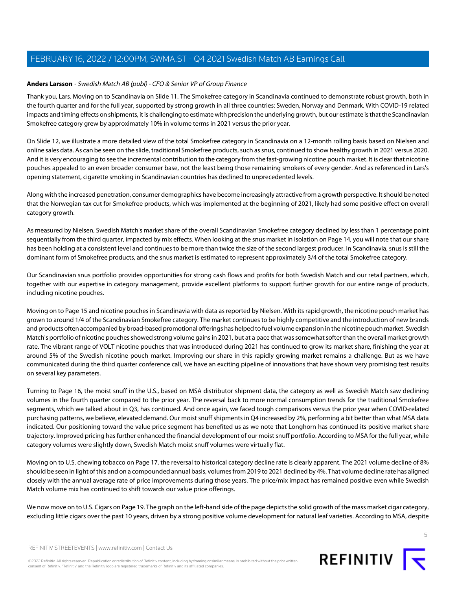# <span id="page-4-0"></span>**Anders Larsson** - Swedish Match AB (publ) - CFO & Senior VP of Group Finance

Thank you, Lars. Moving on to Scandinavia on Slide 11. The Smokefree category in Scandinavia continued to demonstrate robust growth, both in the fourth quarter and for the full year, supported by strong growth in all three countries: Sweden, Norway and Denmark. With COVID-19 related impacts and timing effects on shipments, it is challenging to estimate with precision the underlying growth, but our estimate is that the Scandinavian Smokefree category grew by approximately 10% in volume terms in 2021 versus the prior year.

On Slide 12, we illustrate a more detailed view of the total Smokefree category in Scandinavia on a 12-month rolling basis based on Nielsen and online sales data. As can be seen on the slide, traditional Smokefree products, such as snus, continued to show healthy growth in 2021 versus 2020. And it is very encouraging to see the incremental contribution to the category from the fast-growing nicotine pouch market. It is clear that nicotine pouches appealed to an even broader consumer base, not the least being those remaining smokers of every gender. And as referenced in Lars's opening statement, cigarette smoking in Scandinavian countries has declined to unprecedented levels.

Along with the increased penetration, consumer demographics have become increasingly attractive from a growth perspective. It should be noted that the Norwegian tax cut for Smokefree products, which was implemented at the beginning of 2021, likely had some positive effect on overall category growth.

As measured by Nielsen, Swedish Match's market share of the overall Scandinavian Smokefree category declined by less than 1 percentage point sequentially from the third quarter, impacted by mix effects. When looking at the snus market in isolation on Page 14, you will note that our share has been holding at a consistent level and continues to be more than twice the size of the second largest producer. In Scandinavia, snus is still the dominant form of Smokefree products, and the snus market is estimated to represent approximately 3/4 of the total Smokefree category.

Our Scandinavian snus portfolio provides opportunities for strong cash flows and profits for both Swedish Match and our retail partners, which, together with our expertise in category management, provide excellent platforms to support further growth for our entire range of products, including nicotine pouches.

Moving on to Page 15 and nicotine pouches in Scandinavia with data as reported by Nielsen. With its rapid growth, the nicotine pouch market has grown to around 1/4 of the Scandinavian Smokefree category. The market continues to be highly competitive and the introduction of new brands and products often accompanied by broad-based promotional offerings has helped to fuel volume expansion in the nicotine pouch market. Swedish Match's portfolio of nicotine pouches showed strong volume gains in 2021, but at a pace that was somewhat softer than the overall market growth rate. The vibrant range of VOLT nicotine pouches that was introduced during 2021 has continued to grow its market share, finishing the year at around 5% of the Swedish nicotine pouch market. Improving our share in this rapidly growing market remains a challenge. But as we have communicated during the third quarter conference call, we have an exciting pipeline of innovations that have shown very promising test results on several key parameters.

Turning to Page 16, the moist snuff in the U.S., based on MSA distributor shipment data, the category as well as Swedish Match saw declining volumes in the fourth quarter compared to the prior year. The reversal back to more normal consumption trends for the traditional Smokefree segments, which we talked about in Q3, has continued. And once again, we faced tough comparisons versus the prior year when COVID-related purchasing patterns, we believe, elevated demand. Our moist snuff shipments in Q4 increased by 2%, performing a bit better than what MSA data indicated. Our positioning toward the value price segment has benefited us as we note that Longhorn has continued its positive market share trajectory. Improved pricing has further enhanced the financial development of our moist snuff portfolio. According to MSA for the full year, while category volumes were slightly down, Swedish Match moist snuff volumes were virtually flat.

Moving on to U.S. chewing tobacco on Page 17, the reversal to historical category decline rate is clearly apparent. The 2021 volume decline of 8% should be seen in light of this and on a compounded annual basis, volumes from 2019 to 2021 declined by 4%. That volume decline rate has aligned closely with the annual average rate of price improvements during those years. The price/mix impact has remained positive even while Swedish Match volume mix has continued to shift towards our value price offerings.

We now move on to U.S. Cigars on Page 19. The graph on the left-hand side of the page depicts the solid growth of the mass market cigar category, excluding little cigars over the past 10 years, driven by a strong positive volume development for natural leaf varieties. According to MSA, despite

REFINITIV STREETEVENTS | [www.refinitiv.com](https://www.refinitiv.com/) | [Contact Us](https://www.refinitiv.com/en/contact-us)

©2022 Refinitiv. All rights reserved. Republication or redistribution of Refinitiv content, including by framing or similar means, is prohibited without the prior written consent of Refinitiv. 'Refinitiv' and the Refinitiv logo are registered trademarks of Refinitiv and its affiliated companies.

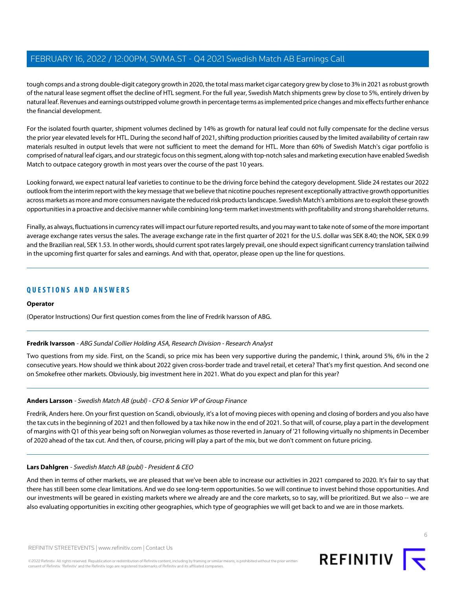tough comps and a strong double-digit category growth in 2020, the total mass market cigar category grew by close to 3% in 2021 as robust growth of the natural lease segment offset the decline of HTL segment. For the full year, Swedish Match shipments grew by close to 5%, entirely driven by natural leaf. Revenues and earnings outstripped volume growth in percentage terms as implemented price changes and mix effects further enhance the financial development.

For the isolated fourth quarter, shipment volumes declined by 14% as growth for natural leaf could not fully compensate for the decline versus the prior year elevated levels for HTL. During the second half of 2021, shifting production priorities caused by the limited availability of certain raw materials resulted in output levels that were not sufficient to meet the demand for HTL. More than 60% of Swedish Match's cigar portfolio is comprised of natural leaf cigars, and our strategic focus on this segment, along with top-notch sales and marketing execution have enabled Swedish Match to outpace category growth in most years over the course of the past 10 years.

Looking forward, we expect natural leaf varieties to continue to be the driving force behind the category development. Slide 24 restates our 2022 outlook from the interim report with the key message that we believe that nicotine pouches represent exceptionally attractive growth opportunities across markets as more and more consumers navigate the reduced risk products landscape. Swedish Match's ambitions are to exploit these growth opportunities in a proactive and decisive manner while combining long-term market investments with profitability and strong shareholder returns.

Finally, as always, fluctuations in currency rates will impact our future reported results, and you may want to take note of some of the more important average exchange rates versus the sales. The average exchange rate in the first quarter of 2021 for the U.S. dollar was SEK 8.40; the NOK, SEK 0.99 and the Brazilian real, SEK 1.53. In other words, should current spot rates largely prevail, one should expect significant currency translation tailwind in the upcoming first quarter for sales and earnings. And with that, operator, please open up the line for questions.

# **QUESTIONS AND ANSWERS**

## <span id="page-5-0"></span>**Operator**

(Operator Instructions) Our first question comes from the line of Fredrik Ivarsson of ABG.

## **Fredrik Ivarsson** - ABG Sundal Collier Holding ASA, Research Division - Research Analyst

Two questions from my side. First, on the Scandi, so price mix has been very supportive during the pandemic, I think, around 5%, 6% in the 2 consecutive years. How should we think about 2022 given cross-border trade and travel retail, et cetera? That's my first question. And second one on Smokefree other markets. Obviously, big investment here in 2021. What do you expect and plan for this year?

## **Anders Larsson** - Swedish Match AB (publ) - CFO & Senior VP of Group Finance

Fredrik, Anders here. On your first question on Scandi, obviously, it's a lot of moving pieces with opening and closing of borders and you also have the tax cuts in the beginning of 2021 and then followed by a tax hike now in the end of 2021. So that will, of course, play a part in the development of margins with Q1 of this year being soft on Norwegian volumes as those reverted in January of '21 following virtually no shipments in December of 2020 ahead of the tax cut. And then, of course, pricing will play a part of the mix, but we don't comment on future pricing.

## **Lars Dahlgren** - Swedish Match AB (publ) - President & CEO

And then in terms of other markets, we are pleased that we've been able to increase our activities in 2021 compared to 2020. It's fair to say that there has still been some clear limitations. And we do see long-term opportunities. So we will continue to invest behind those opportunities. And our investments will be geared in existing markets where we already are and the core markets, so to say, will be prioritized. But we also -- we are also evaluating opportunities in exciting other geographies, which type of geographies we will get back to and we are in those markets.

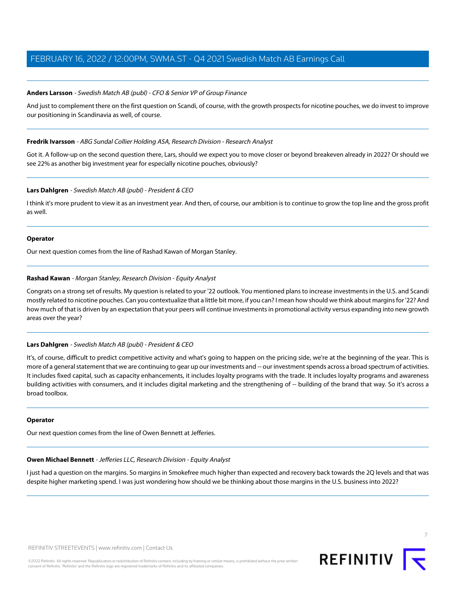#### **Anders Larsson** - Swedish Match AB (publ) - CFO & Senior VP of Group Finance

And just to complement there on the first question on Scandi, of course, with the growth prospects for nicotine pouches, we do invest to improve our positioning in Scandinavia as well, of course.

#### **Fredrik Ivarsson** - ABG Sundal Collier Holding ASA, Research Division - Research Analyst

Got it. A follow-up on the second question there, Lars, should we expect you to move closer or beyond breakeven already in 2022? Or should we see 22% as another big investment year for especially nicotine pouches, obviously?

#### **Lars Dahlgren** - Swedish Match AB (publ) - President & CEO

I think it's more prudent to view it as an investment year. And then, of course, our ambition is to continue to grow the top line and the gross profit as well.

#### **Operator**

<span id="page-6-1"></span>Our next question comes from the line of Rashad Kawan of Morgan Stanley.

## **Rashad Kawan** - Morgan Stanley, Research Division - Equity Analyst

Congrats on a strong set of results. My question is related to your '22 outlook. You mentioned plans to increase investments in the U.S. and Scandi mostly related to nicotine pouches. Can you contextualize that a little bit more, if you can? I mean how should we think about margins for '22? And how much of that is driven by an expectation that your peers will continue investments in promotional activity versus expanding into new growth areas over the year?

## **Lars Dahlgren** - Swedish Match AB (publ) - President & CEO

It's, of course, difficult to predict competitive activity and what's going to happen on the pricing side, we're at the beginning of the year. This is more of a general statement that we are continuing to gear up our investments and -- our investment spends across a broad spectrum of activities. It includes fixed capital, such as capacity enhancements, it includes loyalty programs with the trade. It includes loyalty programs and awareness building activities with consumers, and it includes digital marketing and the strengthening of -- building of the brand that way. So it's across a broad toolbox.

#### <span id="page-6-0"></span>**Operator**

Our next question comes from the line of Owen Bennett at Jefferies.

#### **Owen Michael Bennett** - Jefferies LLC, Research Division - Equity Analyst

I just had a question on the margins. So margins in Smokefree much higher than expected and recovery back towards the 2Q levels and that was despite higher marketing spend. I was just wondering how should we be thinking about those margins in the U.S. business into 2022?

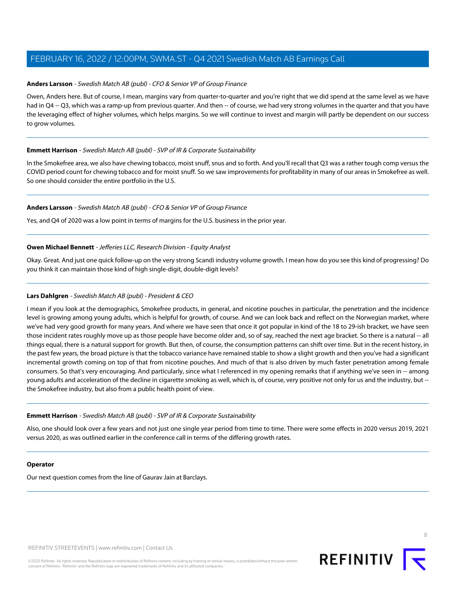## **Anders Larsson** - Swedish Match AB (publ) - CFO & Senior VP of Group Finance

Owen, Anders here. But of course, I mean, margins vary from quarter-to-quarter and you're right that we did spend at the same level as we have had in Q4 -- Q3, which was a ramp-up from previous quarter. And then -- of course, we had very strong volumes in the quarter and that you have the leveraging effect of higher volumes, which helps margins. So we will continue to invest and margin will partly be dependent on our success to grow volumes.

# **Emmett Harrison** - Swedish Match AB (publ) - SVP of IR & Corporate Sustainability

In the Smokefree area, we also have chewing tobacco, moist snuff, snus and so forth. And you'll recall that Q3 was a rather tough comp versus the COVID period count for chewing tobacco and for moist snuff. So we saw improvements for profitability in many of our areas in Smokefree as well. So one should consider the entire portfolio in the U.S.

# **Anders Larsson** - Swedish Match AB (publ) - CFO & Senior VP of Group Finance

Yes, and Q4 of 2020 was a low point in terms of margins for the U.S. business in the prior year.

## **Owen Michael Bennett** - Jefferies LLC, Research Division - Equity Analyst

Okay. Great. And just one quick follow-up on the very strong Scandi industry volume growth. I mean how do you see this kind of progressing? Do you think it can maintain those kind of high single-digit, double-digit levels?

# **Lars Dahlgren** - Swedish Match AB (publ) - President & CEO

I mean if you look at the demographics, Smokefree products, in general, and nicotine pouches in particular, the penetration and the incidence level is growing among young adults, which is helpful for growth, of course. And we can look back and reflect on the Norwegian market, where we've had very good growth for many years. And where we have seen that once it got popular in kind of the 18 to 29-ish bracket, we have seen those incident rates roughly move up as those people have become older and, so of say, reached the next age bracket. So there is a natural -- all things equal, there is a natural support for growth. But then, of course, the consumption patterns can shift over time. But in the recent history, in the past few years, the broad picture is that the tobacco variance have remained stable to show a slight growth and then you've had a significant incremental growth coming on top of that from nicotine pouches. And much of that is also driven by much faster penetration among female consumers. So that's very encouraging. And particularly, since what I referenced in my opening remarks that if anything we've seen in -- among young adults and acceleration of the decline in cigarette smoking as well, which is, of course, very positive not only for us and the industry, but - the Smokefree industry, but also from a public health point of view.

## **Emmett Harrison** - Swedish Match AB (publ) - SVP of IR & Corporate Sustainability

Also, one should look over a few years and not just one single year period from time to time. There were some effects in 2020 versus 2019, 2021 versus 2020, as was outlined earlier in the conference call in terms of the differing growth rates.

## **Operator**

Our next question comes from the line of Gaurav Jain at Barclays.

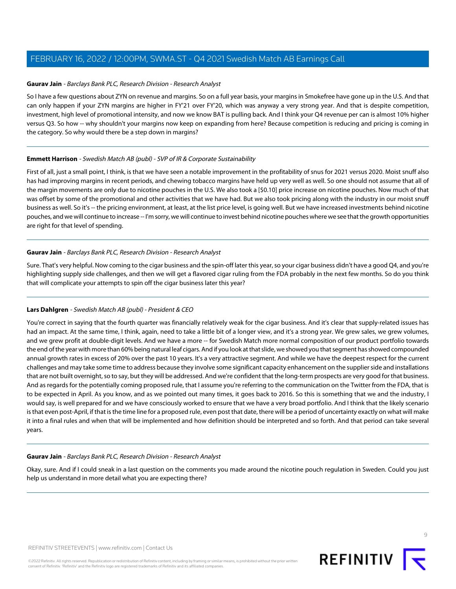#### <span id="page-8-0"></span>**Gaurav Jain** - Barclays Bank PLC, Research Division - Research Analyst

So I have a few questions about ZYN on revenue and margins. So on a full year basis, your margins in Smokefree have gone up in the U.S. And that can only happen if your ZYN margins are higher in FY'21 over FY'20, which was anyway a very strong year. And that is despite competition, investment, high level of promotional intensity, and now we know BAT is pulling back. And I think your Q4 revenue per can is almost 10% higher versus Q3. So how -- why shouldn't your margins now keep on expanding from here? Because competition is reducing and pricing is coming in the category. So why would there be a step down in margins?

#### **Emmett Harrison** - Swedish Match AB (publ) - SVP of IR & Corporate Sustainability

First of all, just a small point, I think, is that we have seen a notable improvement in the profitability of snus for 2021 versus 2020. Moist snuff also has had improving margins in recent periods, and chewing tobacco margins have held up very well as well. So one should not assume that all of the margin movements are only due to nicotine pouches in the U.S. We also took a [\$0.10] price increase on nicotine pouches. Now much of that was offset by some of the promotional and other activities that we have had. But we also took pricing along with the industry in our moist snuff business as well. So it's -- the pricing environment, at least, at the list price level, is going well. But we have increased investments behind nicotine pouches, and we will continue to increase -- I'm sorry, we will continue to invest behind nicotine pouches where we see that the growth opportunities are right for that level of spending.

#### **Gaurav Jain** - Barclays Bank PLC, Research Division - Research Analyst

Sure. That's very helpful. Now coming to the cigar business and the spin-off later this year, so your cigar business didn't have a good Q4, and you're highlighting supply side challenges, and then we will get a flavored cigar ruling from the FDA probably in the next few months. So do you think that will complicate your attempts to spin off the cigar business later this year?

## **Lars Dahlgren** - Swedish Match AB (publ) - President & CEO

You're correct in saying that the fourth quarter was financially relatively weak for the cigar business. And it's clear that supply-related issues has had an impact. At the same time, I think, again, need to take a little bit of a longer view, and it's a strong year. We grew sales, we grew volumes, and we grew profit at double-digit levels. And we have a more -- for Swedish Match more normal composition of our product portfolio towards the end of the year with more than 60% being natural leaf cigars. And if you look at that slide, we showed you that segment has showed compounded annual growth rates in excess of 20% over the past 10 years. It's a very attractive segment. And while we have the deepest respect for the current challenges and may take some time to address because they involve some significant capacity enhancement on the supplier side and installations that are not built overnight, so to say, but they will be addressed. And we're confident that the long-term prospects are very good for that business. And as regards for the potentially coming proposed rule, that I assume you're referring to the communication on the Twitter from the FDA, that is to be expected in April. As you know, and as we pointed out many times, it goes back to 2016. So this is something that we and the industry, I would say, is well prepared for and we have consciously worked to ensure that we have a very broad portfolio. And I think that the likely scenario is that even post-April, if that is the time line for a proposed rule, even post that date, there will be a period of uncertainty exactly on what will make it into a final rules and when that will be implemented and how definition should be interpreted and so forth. And that period can take several years.

#### **Gaurav Jain** - Barclays Bank PLC, Research Division - Research Analyst

Okay, sure. And if I could sneak in a last question on the comments you made around the nicotine pouch regulation in Sweden. Could you just help us understand in more detail what you are expecting there?

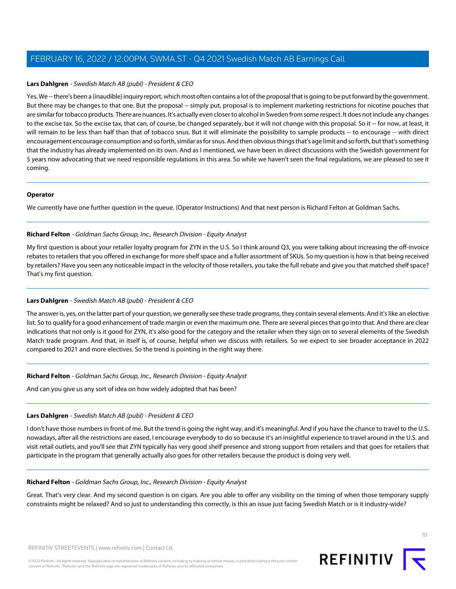#### **Lars Dahlgren** - Swedish Match AB (publ) - President & CEO

Yes. We -- there's been a (inaudible) inquiry report, which most often contains a lot of the proposal that is going to be put forward by the government. But there may be changes to that one. But the proposal -- simply put, proposal is to implement marketing restrictions for nicotine pouches that are similar for tobacco products. There are nuances. It's actually even closer to alcohol in Sweden from some respect. It does not include any changes to the excise tax. So the excise tax, that can, of course, be changed separately, but it will not change with this proposal. So it -- for now, at least, it will remain to be less than half than that of tobacco snus. But it will eliminate the possibility to sample products -- to encourage -- with direct encouragement encourage consumption and so forth, similar as for snus. And then obvious things that's age limit and so forth, but that's something that the industry has already implemented on its own. And as I mentioned, we have been in direct discussions with the Swedish government for 5 years now advocating that we need responsible regulations in this area. So while we haven't seen the final regulations, we are pleased to see it coming.

#### **Operator**

<span id="page-9-0"></span>We currently have one further question in the queue. (Operator Instructions) And that next person is Richard Felton at Goldman Sachs.

## **Richard Felton** - Goldman Sachs Group, Inc., Research Division - Equity Analyst

My first question is about your retailer loyalty program for ZYN in the U.S. So I think around Q3, you were talking about increasing the off-invoice rebates to retailers that you offered in exchange for more shelf space and a fuller assortment of SKUs. So my question is how is that being received by retailers? Have you seen any noticeable impact in the velocity of those retailers, you take the full rebate and give you that matched shelf space? That's my first question.

## **Lars Dahlgren** - Swedish Match AB (publ) - President & CEO

The answer is, yes, on the latter part of your question, we generally see these trade programs, they contain several elements. And it's like an elective list. So to qualify for a good enhancement of trade margin or even the maximum one. There are several pieces that go into that. And there are clear indications that not only is it good for ZYN, it's also good for the category and the retailer when they sign on to several elements of the Swedish Match trade program. And that, in itself is, of course, helpful when we discuss with retailers. So we expect to see broader acceptance in 2022 compared to 2021 and more electives. So the trend is pointing in the right way there.

## **Richard Felton** - Goldman Sachs Group, Inc., Research Division - Equity Analyst

And can you give us any sort of idea on how widely adopted that has been?

## **Lars Dahlgren** - Swedish Match AB (publ) - President & CEO

I don't have those numbers in front of me. But the trend is going the right way, and it's meaningful. And if you have the chance to travel to the U.S. nowadays, after all the restrictions are eased, I encourage everybody to do so because it's an insightful experience to travel around in the U.S. and visit retail outlets, and you'll see that ZYN typically has very good shelf presence and strong support from retailers and that goes for retailers that participate in the program that generally actually also goes for other retailers because the product is doing very well.

## **Richard Felton** - Goldman Sachs Group, Inc., Research Division - Equity Analyst

Great. That's very clear. And my second question is on cigars. Are you able to offer any visibility on the timing of when those temporary supply constraints might be relaxed? And so just to understanding this correctly, is this an issue just facing Swedish Match or is it industry-wide?

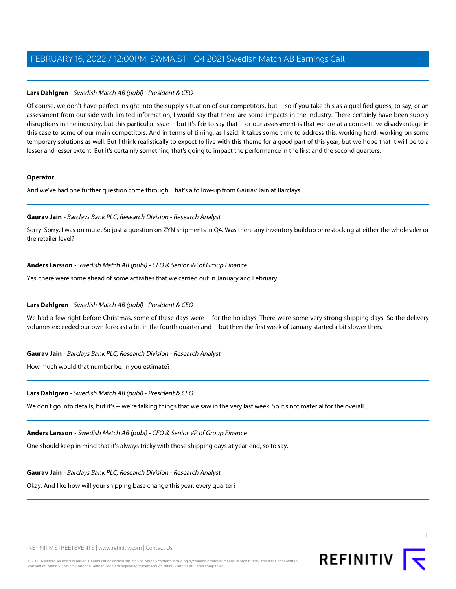## **Lars Dahlgren** - Swedish Match AB (publ) - President & CEO

Of course, we don't have perfect insight into the supply situation of our competitors, but -- so if you take this as a qualified guess, to say, or an assessment from our side with limited information, I would say that there are some impacts in the industry. There certainly have been supply disruptions in the industry, but this particular issue -- but it's fair to say that -- or our assessment is that we are at a competitive disadvantage in this case to some of our main competitors. And in terms of timing, as I said, it takes some time to address this, working hard, working on some temporary solutions as well. But I think realistically to expect to live with this theme for a good part of this year, but we hope that it will be to a lesser and lesser extent. But it's certainly something that's going to impact the performance in the first and the second quarters.

#### **Operator**

And we've had one further question come through. That's a follow-up from Gaurav Jain at Barclays.

## **Gaurav Jain** - Barclays Bank PLC, Research Division - Research Analyst

Sorry. Sorry, I was on mute. So just a question on ZYN shipments in Q4. Was there any inventory buildup or restocking at either the wholesaler or the retailer level?

# **Anders Larsson** - Swedish Match AB (publ) - CFO & Senior VP of Group Finance

Yes, there were some ahead of some activities that we carried out in January and February.

# **Lars Dahlgren** - Swedish Match AB (publ) - President & CEO

We had a few right before Christmas, some of these days were -- for the holidays. There were some very strong shipping days. So the delivery volumes exceeded our own forecast a bit in the fourth quarter and -- but then the first week of January started a bit slower then.

## **Gaurav Jain** - Barclays Bank PLC, Research Division - Research Analyst

How much would that number be, in you estimate?

## **Lars Dahlgren** - Swedish Match AB (publ) - President & CEO

We don't go into details, but it's -- we're talking things that we saw in the very last week. So it's not material for the overall...

# **Anders Larsson** - Swedish Match AB (publ) - CFO & Senior VP of Group Finance

One should keep in mind that it's always tricky with those shipping days at year-end, so to say.

## **Gaurav Jain** - Barclays Bank PLC, Research Division - Research Analyst

Okay. And like how will your shipping base change this year, every quarter?



11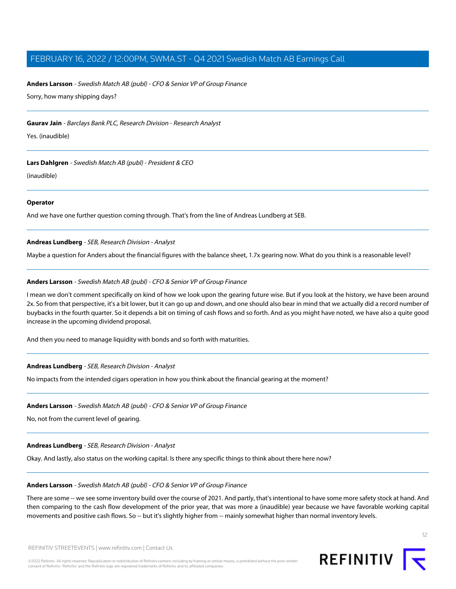## **Anders Larsson** - Swedish Match AB (publ) - CFO & Senior VP of Group Finance

Sorry, how many shipping days?

#### **Gaurav Jain** - Barclays Bank PLC, Research Division - Research Analyst

Yes. (inaudible)

#### **Lars Dahlgren** - Swedish Match AB (publ) - President & CEO

(inaudible)

#### **Operator**

<span id="page-11-0"></span>And we have one further question coming through. That's from the line of Andreas Lundberg at SEB.

# **Andreas Lundberg** - SEB, Research Division - Analyst

Maybe a question for Anders about the financial figures with the balance sheet, 1.7x gearing now. What do you think is a reasonable level?

#### **Anders Larsson** - Swedish Match AB (publ) - CFO & Senior VP of Group Finance

I mean we don't comment specifically on kind of how we look upon the gearing future wise. But if you look at the history, we have been around 2x. So from that perspective, it's a bit lower, but it can go up and down, and one should also bear in mind that we actually did a record number of buybacks in the fourth quarter. So it depends a bit on timing of cash flows and so forth. And as you might have noted, we have also a quite good increase in the upcoming dividend proposal.

And then you need to manage liquidity with bonds and so forth with maturities.

#### **Andreas Lundberg** - SEB, Research Division - Analyst

No impacts from the intended cigars operation in how you think about the financial gearing at the moment?

#### **Anders Larsson** - Swedish Match AB (publ) - CFO & Senior VP of Group Finance

No, not from the current level of gearing.

**Andreas Lundberg** - SEB, Research Division - Analyst

Okay. And lastly, also status on the working capital. Is there any specific things to think about there here now?

#### **Anders Larsson** - Swedish Match AB (publ) - CFO & Senior VP of Group Finance

There are some -- we see some inventory build over the course of 2021. And partly, that's intentional to have some more safety stock at hand. And then comparing to the cash flow development of the prior year, that was more a (inaudible) year because we have favorable working capital movements and positive cash flows. So -- but it's slightly higher from -- mainly somewhat higher than normal inventory levels.

©2022 Refinitiv. All rights reserved. Republication or redistribution of Refinitiv content, including by framing or similar means, is prohibited without the prior written consent of Refinitiv. 'Refinitiv' and the Refinitiv logo are registered trademarks of Refinitiv and its affiliated companies.

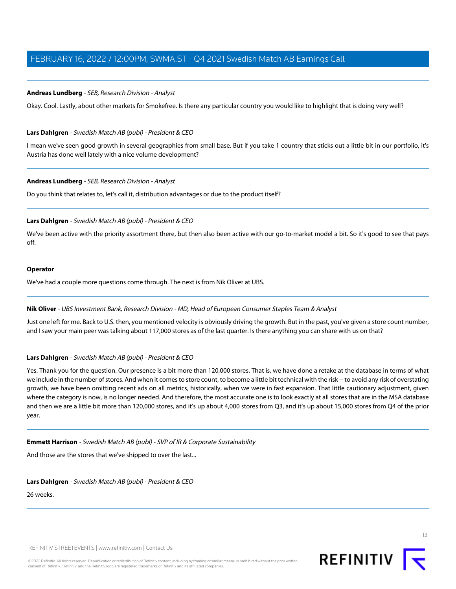## **Andreas Lundberg** - SEB, Research Division - Analyst

Okay. Cool. Lastly, about other markets for Smokefree. Is there any particular country you would like to highlight that is doing very well?

#### **Lars Dahlgren** - Swedish Match AB (publ) - President & CEO

I mean we've seen good growth in several geographies from small base. But if you take 1 country that sticks out a little bit in our portfolio, it's Austria has done well lately with a nice volume development?

# **Andreas Lundberg** - SEB, Research Division - Analyst

Do you think that relates to, let's call it, distribution advantages or due to the product itself?

#### **Lars Dahlgren** - Swedish Match AB (publ) - President & CEO

We've been active with the priority assortment there, but then also been active with our go-to-market model a bit. So it's good to see that pays off.

# **Operator**

<span id="page-12-0"></span>We've had a couple more questions come through. The next is from Nik Oliver at UBS.

#### **Nik Oliver** - UBS Investment Bank, Research Division - MD, Head of European Consumer Staples Team & Analyst

Just one left for me. Back to U.S. then, you mentioned velocity is obviously driving the growth. But in the past, you've given a store count number, and I saw your main peer was talking about 117,000 stores as of the last quarter. Is there anything you can share with us on that?

#### **Lars Dahlgren** - Swedish Match AB (publ) - President & CEO

Yes. Thank you for the question. Our presence is a bit more than 120,000 stores. That is, we have done a retake at the database in terms of what we include in the number of stores. And when it comes to store count, to become a little bit technical with the risk -- to avoid any risk of overstating growth, we have been omitting recent ads on all metrics, historically, when we were in fast expansion. That little cautionary adjustment, given where the category is now, is no longer needed. And therefore, the most accurate one is to look exactly at all stores that are in the MSA database and then we are a little bit more than 120,000 stores, and it's up about 4,000 stores from Q3, and it's up about 15,000 stores from Q4 of the prior year.

#### **Emmett Harrison** - Swedish Match AB (publ) - SVP of IR & Corporate Sustainability

And those are the stores that we've shipped to over the last...

#### **Lars Dahlgren** - Swedish Match AB (publ) - President & CEO

26 weeks.

REFINITIV STREETEVENTS | [www.refinitiv.com](https://www.refinitiv.com/) | [Contact Us](https://www.refinitiv.com/en/contact-us)

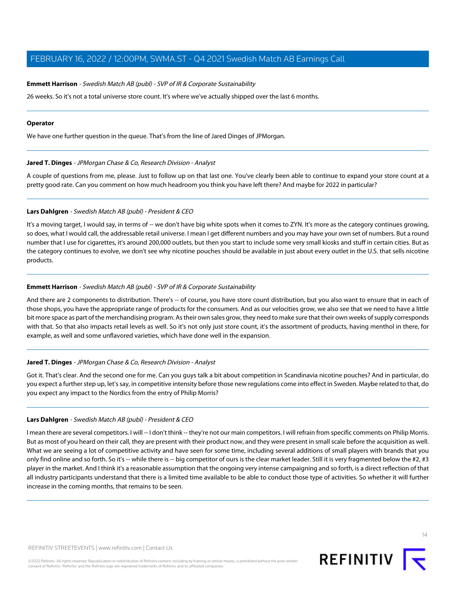#### **Emmett Harrison** - Swedish Match AB (publ) - SVP of IR & Corporate Sustainability

26 weeks. So it's not a total universe store count. It's where we've actually shipped over the last 6 months.

#### **Operator**

<span id="page-13-0"></span>We have one further question in the queue. That's from the line of Jared Dinges of JPMorgan.

#### **Jared T. Dinges** - JPMorgan Chase & Co, Research Division - Analyst

A couple of questions from me, please. Just to follow up on that last one. You've clearly been able to continue to expand your store count at a pretty good rate. Can you comment on how much headroom you think you have left there? And maybe for 2022 in particular?

#### **Lars Dahlgren** - Swedish Match AB (publ) - President & CEO

It's a moving target, I would say, in terms of -- we don't have big white spots when it comes to ZYN. It's more as the category continues growing, so does, what I would call, the addressable retail universe. I mean I get different numbers and you may have your own set of numbers. But a round number that I use for cigarettes, it's around 200,000 outlets, but then you start to include some very small kiosks and stuff in certain cities. But as the category continues to evolve, we don't see why nicotine pouches should be available in just about every outlet in the U.S. that sells nicotine products.

## **Emmett Harrison** - Swedish Match AB (publ) - SVP of IR & Corporate Sustainability

And there are 2 components to distribution. There's -- of course, you have store count distribution, but you also want to ensure that in each of those shops, you have the appropriate range of products for the consumers. And as our velocities grow, we also see that we need to have a little bit more space as part of the merchandising program. As their own sales grow, they need to make sure that their own weeks of supply corresponds with that. So that also impacts retail levels as well. So it's not only just store count, it's the assortment of products, having menthol in there, for example, as well and some unflavored varieties, which have done well in the expansion.

#### **Jared T. Dinges** - JPMorgan Chase & Co, Research Division - Analyst

Got it. That's clear. And the second one for me. Can you guys talk a bit about competition in Scandinavia nicotine pouches? And in particular, do you expect a further step up, let's say, in competitive intensity before those new regulations come into effect in Sweden. Maybe related to that, do you expect any impact to the Nordics from the entry of Philip Morris?

#### **Lars Dahlgren** - Swedish Match AB (publ) - President & CEO

I mean there are several competitors. I will -- I don't think -- they're not our main competitors. I will refrain from specific comments on Philip Morris. But as most of you heard on their call, they are present with their product now, and they were present in small scale before the acquisition as well. What we are seeing a lot of competitive activity and have seen for some time, including several additions of small players with brands that you only find online and so forth. So it's -- while there is -- big competitor of ours is the clear market leader. Still it is very fragmented below the #2, #3 player in the market. And I think it's a reasonable assumption that the ongoing very intense campaigning and so forth, is a direct reflection of that all industry participants understand that there is a limited time available to be able to conduct those type of activities. So whether it will further increase in the coming months, that remains to be seen.